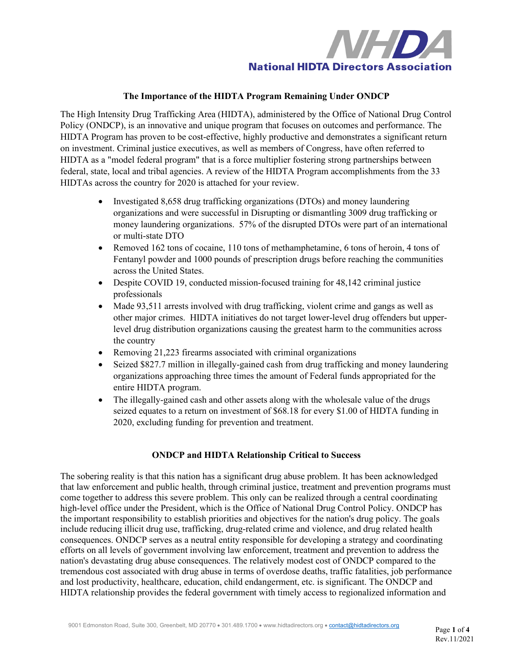

# **The Importance of the HIDTA Program Remaining Under ONDCP**

The High Intensity Drug Trafficking Area (HIDTA), administered by the Office of National Drug Control Policy (ONDCP), is an innovative and unique program that focuses on outcomes and performance. The HIDTA Program has proven to be cost-effective, highly productive and demonstrates a significant return on investment. Criminal justice executives, as well as members of Congress, have often referred to HIDTA as a "model federal program" that is a force multiplier fostering strong partnerships between federal, state, local and tribal agencies. A review of the HIDTA Program accomplishments from the 33 HIDTAs across the country for 2020 is attached for your review.

- Investigated 8,658 drug trafficking organizations (DTOs) and money laundering organizations and were successful in Disrupting or dismantling 3009 drug trafficking or money laundering organizations. 57% of the disrupted DTOs were part of an international or multi-state DTO
- Removed 162 tons of cocaine, 110 tons of methamphetamine, 6 tons of heroin, 4 tons of Fentanyl powder and 1000 pounds of prescription drugs before reaching the communities across the United States.
- Despite COVID 19, conducted mission-focused training for 48,142 criminal justice professionals
- Made 93,511 arrests involved with drug trafficking, violent crime and gangs as well as other major crimes. HIDTA initiatives do not target lower-level drug offenders but upperlevel drug distribution organizations causing the greatest harm to the communities across the country
- Removing 21,223 firearms associated with criminal organizations
- Seized \$827.7 million in illegally-gained cash from drug trafficking and money laundering organizations approaching three times the amount of Federal funds appropriated for the entire HIDTA program.
- The illegally-gained cash and other assets along with the wholesale value of the drugs seized equates to a return on investment of \$68.18 for every \$1.00 of HIDTA funding in 2020, excluding funding for prevention and treatment.

### **ONDCP and HIDTA Relationship Critical to Success**

The sobering reality is that this nation has a significant drug abuse problem. It has been acknowledged that law enforcement and public health, through criminal justice, treatment and prevention programs must come together to address this severe problem. This only can be realized through a central coordinating high-level office under the President, which is the Office of National Drug Control Policy. ONDCP has the important responsibility to establish priorities and objectives for the nation's drug policy. The goals include reducing illicit drug use, trafficking, drug-related crime and violence, and drug related health consequences. ONDCP serves as a neutral entity responsible for developing a strategy and coordinating efforts on all levels of government involving law enforcement, treatment and prevention to address the nation's devastating drug abuse consequences. The relatively modest cost of ONDCP compared to the tremendous cost associated with drug abuse in terms of overdose deaths, traffic fatalities, job performance and lost productivity, healthcare, education, child endangerment, etc. is significant. The ONDCP and HIDTA relationship provides the federal government with timely access to regionalized information and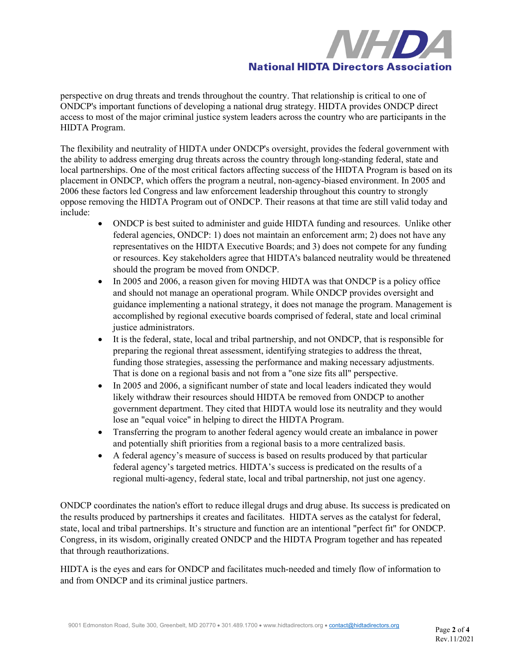

perspective on drug threats and trends throughout the country. That relationship is critical to one of ONDCP's important functions of developing a national drug strategy. HIDTA provides ONDCP direct access to most of the major criminal justice system leaders across the country who are participants in the HIDTA Program.

The flexibility and neutrality of HIDTA under ONDCP's oversight, provides the federal government with the ability to address emerging drug threats across the country through long-standing federal, state and local partnerships. One of the most critical factors affecting success of the HIDTA Program is based on its placement in ONDCP, which offers the program a neutral, non-agency-biased environment. In 2005 and 2006 these factors led Congress and law enforcement leadership throughout this country to strongly oppose removing the HIDTA Program out of ONDCP. Their reasons at that time are still valid today and include:

- ONDCP is best suited to administer and guide HIDTA funding and resources. Unlike other federal agencies, ONDCP: 1) does not maintain an enforcement arm; 2) does not have any representatives on the HIDTA Executive Boards; and 3) does not compete for any funding or resources. Key stakeholders agree that HIDTA's balanced neutrality would be threatened should the program be moved from ONDCP.
- In 2005 and 2006, a reason given for moving HIDTA was that ONDCP is a policy office and should not manage an operational program. While ONDCP provides oversight and guidance implementing a national strategy, it does not manage the program. Management is accomplished by regional executive boards comprised of federal, state and local criminal justice administrators.
- It is the federal, state, local and tribal partnership, and not ONDCP, that is responsible for preparing the regional threat assessment, identifying strategies to address the threat, funding those strategies, assessing the performance and making necessary adjustments. That is done on a regional basis and not from a "one size fits all" perspective.
- In 2005 and 2006, a significant number of state and local leaders indicated they would likely withdraw their resources should HIDTA be removed from ONDCP to another government department. They cited that HIDTA would lose its neutrality and they would lose an "equal voice" in helping to direct the HIDTA Program.
- Transferring the program to another federal agency would create an imbalance in power and potentially shift priorities from a regional basis to a more centralized basis.
- A federal agency's measure of success is based on results produced by that particular federal agency's targeted metrics. HIDTA's success is predicated on the results of a regional multi-agency, federal state, local and tribal partnership, not just one agency.

ONDCP coordinates the nation's effort to reduce illegal drugs and drug abuse. Its success is predicated on the results produced by partnerships it creates and facilitates. HIDTA serves as the catalyst for federal, state, local and tribal partnerships. It's structure and function are an intentional "perfect fit" for ONDCP. Congress, in its wisdom, originally created ONDCP and the HIDTA Program together and has repeated that through reauthorizations.

HIDTA is the eyes and ears for ONDCP and facilitates much-needed and timely flow of information to and from ONDCP and its criminal justice partners.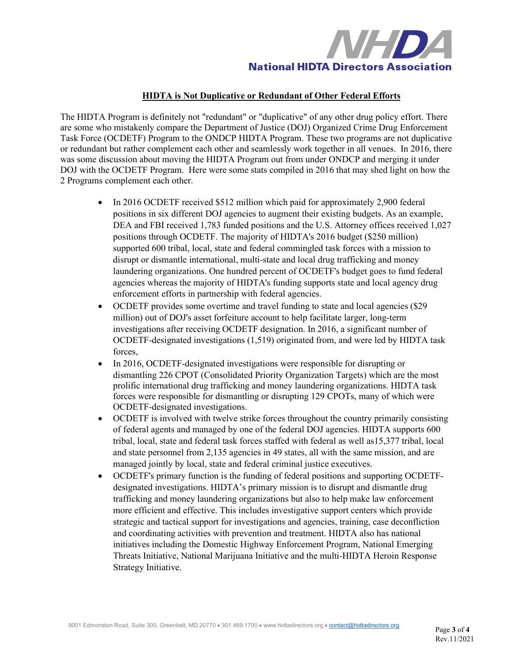

# **HIDTA is Not Duplicative or Redundant of Other Federal Efforts**

The HIDTA Program is definitely not "redundant" or "duplicative" of any other drug policy effort. There are some who mistakenly compare the Department of Justice (DOJ) Organized Crime Drug Enforcement Task Force (OCDETF) Program to the ONDCP HIDTA Program. These two programs are not duplicative or redundant but rather complement each other and seamlessly work together in all venues. In 2016, there was some discussion about moving the HIDTA Program out from under ONDCP and merging it under DOJ with the OCDETF Program. Here were some stats compiled in 2016 that may shed light on how the 2 Programs complement each other.

- In 2016 OCDETF received \$512 million which paid for approximately 2,900 federal positions in six different DOJ agencies to augment their existing budgets. As an example, DEA and FBI received 1,783 funded positions and the U.S. Attorney offices received 1,027 positions through OCDETF. The majority of HIDTA's 2016 budget (\$250 million) supported 600 tribal, local, state and federal commingled task forces with a mission to disrupt or dismantle international, multi-state and local drug trafficking and money laundering organizations. One hundred percent of OCDETF's budget goes to fund federal agencies whereas the majority of HIDTA's funding supports state and local agency drug enforcement efforts in partnership with federal agencies.
- OCDETF provides some overtime and travel funding to state and local agencies (\$29) million) out of DOJ's asset forfeiture account to help facilitate larger, long-term investigations after receiving OCDETF designation. In 2016, a significant number of OCDETF-designated investigations (1,519) originated from, and were led by HIDTA task forces,
- In 2016, OCDETF-designated investigations were responsible for disrupting or dismantling 226 CPOT (Consolidated Priority Organization Targets) which are the most prolific international drug trafficking and money laundering organizations. HIDTA task forces were responsible for dismantling or disrupting 129 CPOTs, many of which were OCDETF-designated investigations.
- OCDETF is involved with twelve strike forces throughout the country primarily consisting of federal agents and managed by one of the federal DOJ agencies. HIDTA supports 600 tribal, local, state and federal task forces staffed with federal as well as15,377 tribal, local and state personnel from 2,135 agencies in 49 states, all with the same mission, and are managed jointly by local, state and federal criminal justice executives.
- OCDETF's primary function is the funding of federal positions and supporting OCDETFdesignated investigations. HIDTA's primary mission is to disrupt and dismantle drug trafficking and money laundering organizations but also to help make law enforcement more efficient and effective. This includes investigative support centers which provide strategic and tactical support for investigations and agencies, training, case deconfliction and coordinating activities with prevention and treatment. HIDTA also has national initiatives including the Domestic Highway Enforcement Program, National Emerging Threats Initiative, National Marijuana Initiative and the multi-HIDTA Heroin Response Strategy Initiative.